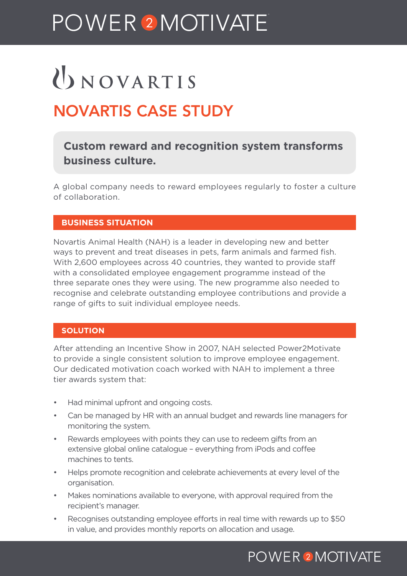## POWER<sup>2</sup>MOTIVATE

# UNOVARTIS

## NOVARTIS CASE STUDY

## **Custom reward and recognition system transforms business culture.**

A global company needs to reward employees regularly to foster a culture of collaboration.

## **BUSINESS SITUATION**

Novartis Animal Health (NAH) is a leader in developing new and better ways to prevent and treat diseases in pets, farm animals and farmed fish. With 2,600 employees across 40 countries, they wanted to provide staff with a consolidated employee engagement programme instead of the three separate ones they were using. The new programme also needed to recognise and celebrate outstanding employee contributions and provide a range of gifts to suit individual employee needs.

### **SOLUTION**

After attending an Incentive Show in 2007, NAH selected Power2Motivate to provide a single consistent solution to improve employee engagement. Our dedicated motivation coach worked with NAH to implement a three tier awards system that:

- Had minimal upfront and ongoing costs.
- Can be managed by HR with an annual budget and rewards line managers for monitoring the system.
- Rewards employees with points they can use to redeem gifts from an extensive global online catalogue – everything from iPods and coffee machines to tents.
- Helps promote recognition and celebrate achievements at every level of the organisation.
- Makes nominations available to everyone, with approval required from the recipient's manager.
- Recognises outstanding employee efforts in real time with rewards up to \$50 in value, and provides monthly reports on allocation and usage.

## **POWER 2 MOTIVATE**